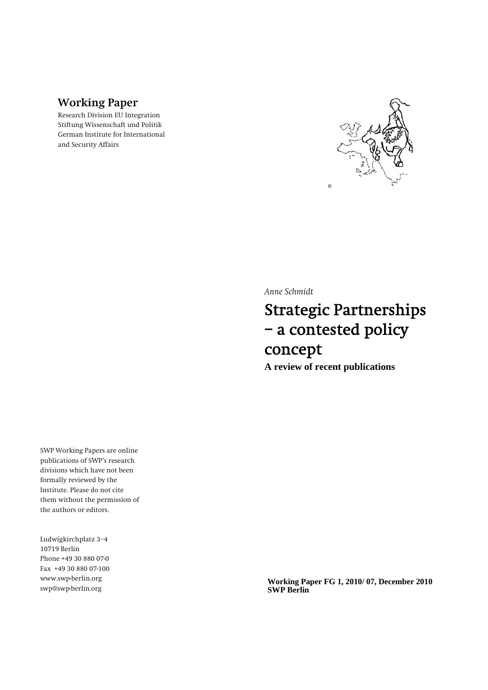## **Working Paper**

Research Division EU Integration Stiftung Wissenschaft und Politik German Institute for International and Security Affairs



*Anne Schmidt* 

# Strategic Partnerships – a contested policy concept

**A review of recent publications**

SWP Working Papers are online publications of SWP's research divisions which have not been formally reviewed by the Institute. Please do not cite them without the permission of the authors or editors.

Ludwigkirchplatz 3−4 10719 Berlin Phone +49 30 880 07-0 Fax +49 30 880 07-100 www.swp-berlin.org swp@swp-berlin.org

**Working Paper FG 1, 2010/ 07, December 2010 SWP Berlin**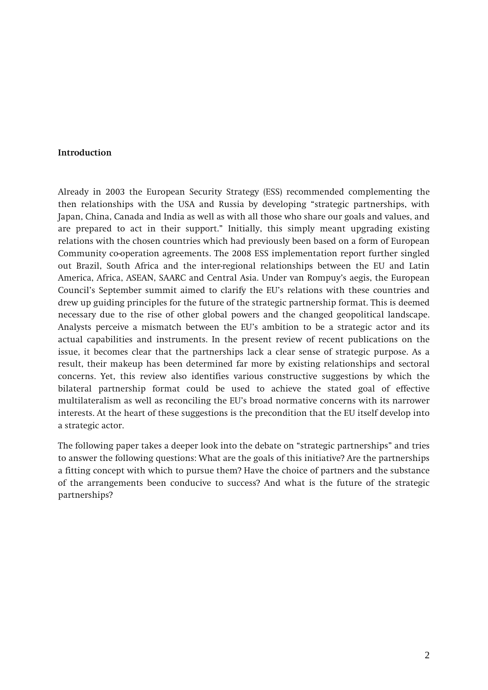#### **Introduction**

Already in 2003 the European Security Strategy (ESS) recommended complementing the then relationships with the USA and Russia by developing "strategic partnerships, with Japan, China, Canada and India as well as with all those who share our goals and values, and are prepared to act in their support." Initially, this simply meant upgrading existing relations with the chosen countries which had previously been based on a form of European Community co-operation agreements. The 2008 ESS implementation report further singled out Brazil, South Africa and the inter-regional relationships between the EU and Latin America, Africa, ASEAN, SAARC and Central Asia. Under van Rompuy's aegis, the European Council's September summit aimed to clarify the EU's relations with these countries and drew up guiding principles for the future of the strategic partnership format. This is deemed necessary due to the rise of other global powers and the changed geopolitical landscape. Analysts perceive a mismatch between the EU's ambition to be a strategic actor and its actual capabilities and instruments. In the present review of recent publications on the issue, it becomes clear that the partnerships lack a clear sense of strategic purpose. As a result, their makeup has been determined far more by existing relationships and sectoral concerns. Yet, this review also identifies various constructive suggestions by which the bilateral partnership format could be used to achieve the stated goal of effective multilateralism as well as reconciling the EU's broad normative concerns with its narrower interests. At the heart of these suggestions is the precondition that the EU itself develop into a strategic actor.

The following paper takes a deeper look into the debate on "strategic partnerships" and tries to answer the following questions: What are the goals of this initiative? Are the partnerships a fitting concept with which to pursue them? Have the choice of partners and the substance of the arrangements been conducive to success? And what is the future of the strategic partnerships?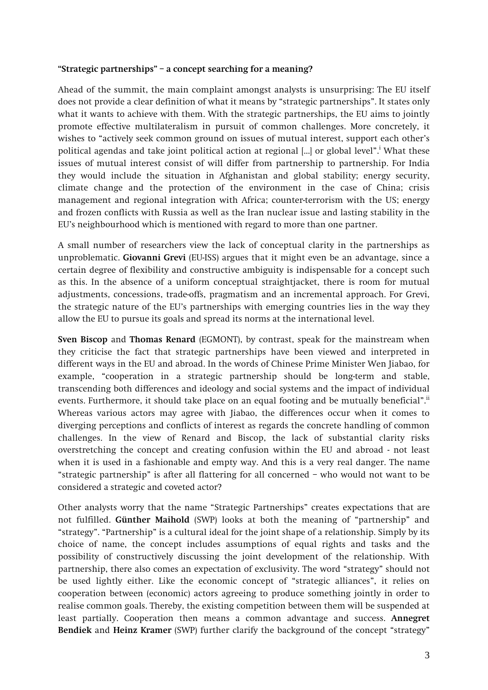#### **"Strategic partnerships" – a concept searching for a meaning?**

Ahead of the summit, the main complaint amongst analysts is unsurprising: The EU itself does not provide a clear definition of what it means by "strategic partnerships". It states only what it wants to achieve with them. With the strategic partnerships, the EU aims to jointly promote effective multilateralism in pursuit of common challenges. More concretely, it wishes to "actively seek common ground on issues of mutual interest, support each other's political agendas and take joint political action at regional [...] or global level".<sup>i</sup> What these issues of mutual interest consist of will differ from partnership to partnership. For India they would include the situation in Afghanistan and global stability; energy security, climate change and the protection of the environment in the case of China; crisis management and regional integration with Africa; counter-terrorism with the US; energy and frozen conflicts with Russia as well as the Iran nuclear issue and lasting stability in the EU's neighbourhood which is mentioned with regard to more than one partner.

A small number of researchers view the lack of conceptual clarity in the partnerships as unproblematic. **Giovanni Grevi** (EU-ISS) argues that it might even be an advantage, since a certain degree of flexibility and constructive ambiguity is indispensable for a concept such as this. In the absence of a uniform conceptual straightjacket, there is room for mutual adjustments, concessions, trade-offs, pragmatism and an incremental approach. For Grevi, the strategic nature of the EU's partnerships with emerging countries lies in the way they allow the EU to pursue its goals and spread its norms at the international level.

**Sven Biscop and Thomas Renard** (EGMONT), by contrast, speak for the mainstream when they criticise the fact that strategic partnerships have been viewed and interpreted in different ways in the EU and abroad. In the words of Chinese Prime Minister Wen Jiabao, for example, "cooperation in a strategic partnership should be long-term and stable, transcending both differences and ideology and social systems and the impact of individual events. Furthermore, it should take place on an equal footing and be mutually beneficial".<sup>ii</sup> Whereas various actors may agree with Jiabao, the differences occur when it comes to diverging perceptions and conflicts of interest as regards the concrete handling of common challenges. In the view of Renard and Biscop, the lack of substantial clarity risks overstretching the concept and creating confusion within the EU and abroad - not least when it is used in a fashionable and empty way. And this is a very real danger. The name "strategic partnership" is after all flattering for all concerned – who would not want to be considered a strategic and coveted actor?

Other analysts worry that the name "Strategic Partnerships" creates expectations that are not fulfilled. **Günther Maihold** (SWP) looks at both the meaning of "partnership" and "strategy". "Partnership" is a cultural ideal for the joint shape of a relationship. Simply by its choice of name, the concept includes assumptions of equal rights and tasks and the possibility of constructively discussing the joint development of the relationship. With partnership, there also comes an expectation of exclusivity. The word "strategy" should not be used lightly either. Like the economic concept of "strategic alliances", it relies on cooperation between (economic) actors agreeing to produce something jointly in order to realise common goals. Thereby, the existing competition between them will be suspended at least partially. Cooperation then means a common advantage and success. **Annegret Bendiek** and **Heinz Kramer** (SWP) further clarify the background of the concept "strategy"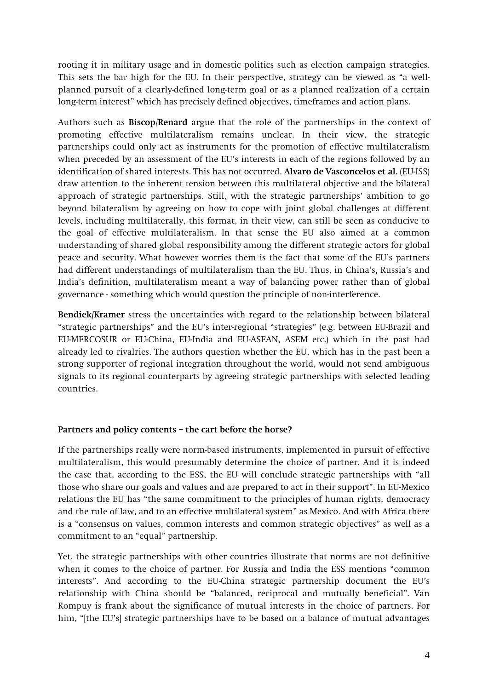rooting it in military usage and in domestic politics such as election campaign strategies. This sets the bar high for the EU. In their perspective, strategy can be viewed as "a wellplanned pursuit of a clearly-defined long-term goal or as a planned realization of a certain long-term interest" which has precisely defined objectives, timeframes and action plans.

Authors such as **Biscop**/**Renard** argue that the role of the partnerships in the context of promoting effective multilateralism remains unclear. In their view, the strategic partnerships could only act as instruments for the promotion of effective multilateralism when preceded by an assessment of the EU's interests in each of the regions followed by an identification of shared interests. This has not occurred. **Alvaro de Vasconcelos et al.** (EU-ISS) draw attention to the inherent tension between this multilateral objective and the bilateral approach of strategic partnerships. Still, with the strategic partnerships' ambition to go beyond bilateralism by agreeing on how to cope with joint global challenges at different levels, including multilaterally, this format, in their view, can still be seen as conducive to the goal of effective multilateralism. In that sense the EU also aimed at a common understanding of shared global responsibility among the different strategic actors for global peace and security. What however worries them is the fact that some of the EU's partners had different understandings of multilateralism than the EU. Thus, in China's, Russia's and India's definition, multilateralism meant a way of balancing power rather than of global governance - something which would question the principle of non-interference.

**Bendiek/Kramer** stress the uncertainties with regard to the relationship between bilateral "strategic partnerships" and the EU's inter-regional "strategies" (e.g. between EU-Brazil and EU-MERCOSUR or EU-China, EU-India and EU-ASEAN, ASEM etc.) which in the past had already led to rivalries. The authors question whether the EU, which has in the past been a strong supporter of regional integration throughout the world, would not send ambiguous signals to its regional counterparts by agreeing strategic partnerships with selected leading countries.

## **Partners and policy contents – the cart before the horse?**

If the partnerships really were norm-based instruments, implemented in pursuit of effective multilateralism, this would presumably determine the choice of partner. And it is indeed the case that, according to the ESS, the EU will conclude strategic partnerships with "all those who share our goals and values and are prepared to act in their support". In EU-Mexico relations the EU has "the same commitment to the principles of human rights, democracy and the rule of law, and to an effective multilateral system" as Mexico. And with Africa there is a "consensus on values, common interests and common strategic objectives" as well as a commitment to an "equal" partnership.

Yet, the strategic partnerships with other countries illustrate that norms are not definitive when it comes to the choice of partner. For Russia and India the ESS mentions "common interests". And according to the EU-China strategic partnership document the EU's relationship with China should be "balanced, reciprocal and mutually beneficial". Van Rompuy is frank about the significance of mutual interests in the choice of partners. For him, "[the EU's] strategic partnerships have to be based on a balance of mutual advantages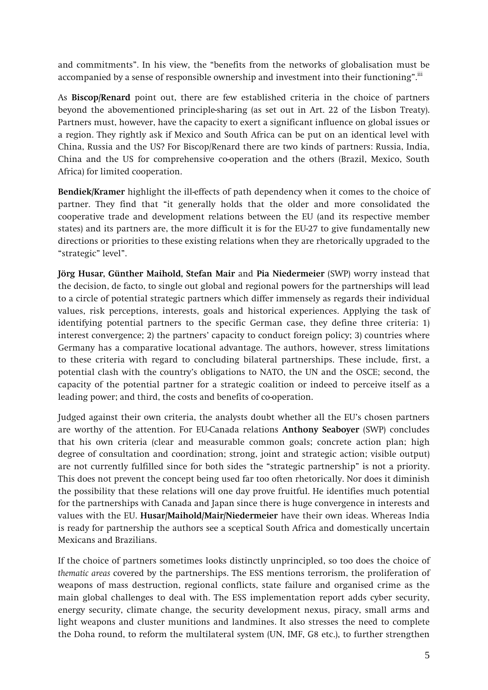and commitments". In his view, the "benefits from the networks of globalisation must be accompanied by a sense of responsible ownership and investment into their functioning".<sup>iii</sup>

As **Biscop/Renard** point out, there are few established criteria in the choice of partners beyond the abovementioned principle-sharing (as set out in Art. 22 of the Lisbon Treaty). Partners must, however, have the capacity to exert a significant influence on global issues or a region. They rightly ask if Mexico and South Africa can be put on an identical level with China, Russia and the US? For Biscop/Renard there are two kinds of partners: Russia, India, China and the US for comprehensive co-operation and the others (Brazil, Mexico, South Africa) for limited cooperation.

**Bendiek/Kramer** highlight the ill-effects of path dependency when it comes to the choice of partner. They find that "it generally holds that the older and more consolidated the cooperative trade and development relations between the EU (and its respective member states) and its partners are, the more difficult it is for the EU-27 to give fundamentally new directions or priorities to these existing relations when they are rhetorically upgraded to the "strategic" level".

**Jörg Husar, Günther Maihold, Stefan Mair** and **Pia Niedermeier** (SWP) worry instead that the decision, de facto, to single out global and regional powers for the partnerships will lead to a circle of potential strategic partners which differ immensely as regards their individual values, risk perceptions, interests, goals and historical experiences. Applying the task of identifying potential partners to the specific German case, they define three criteria: 1) interest convergence; 2) the partners' capacity to conduct foreign policy; 3) countries where Germany has a comparative locational advantage. The authors, however, stress limitations to these criteria with regard to concluding bilateral partnerships. These include, first, a potential clash with the country's obligations to NATO, the UN and the OSCE; second, the capacity of the potential partner for a strategic coalition or indeed to perceive itself as a leading power; and third, the costs and benefits of co-operation.

Judged against their own criteria, the analysts doubt whether all the EU's chosen partners are worthy of the attention. For EU-Canada relations **Anthony Seaboyer** (SWP) concludes that his own criteria (clear and measurable common goals; concrete action plan; high degree of consultation and coordination; strong, joint and strategic action; visible output) are not currently fulfilled since for both sides the "strategic partnership" is not a priority. This does not prevent the concept being used far too often rhetorically. Nor does it diminish the possibility that these relations will one day prove fruitful. He identifies much potential for the partnerships with Canada and Japan since there is huge convergence in interests and values with the EU. **Husar/Maihold/Mair/Niedermeier** have their own ideas. Whereas India is ready for partnership the authors see a sceptical South Africa and domestically uncertain Mexicans and Brazilians.

If the choice of partners sometimes looks distinctly unprincipled, so too does the choice of *thematic areas* covered by the partnerships. The ESS mentions terrorism, the proliferation of weapons of mass destruction, regional conflicts, state failure and organised crime as the main global challenges to deal with. The ESS implementation report adds cyber security, energy security, climate change, the security development nexus, piracy, small arms and light weapons and cluster munitions and landmines. It also stresses the need to complete the Doha round, to reform the multilateral system (UN, IMF, G8 etc.), to further strengthen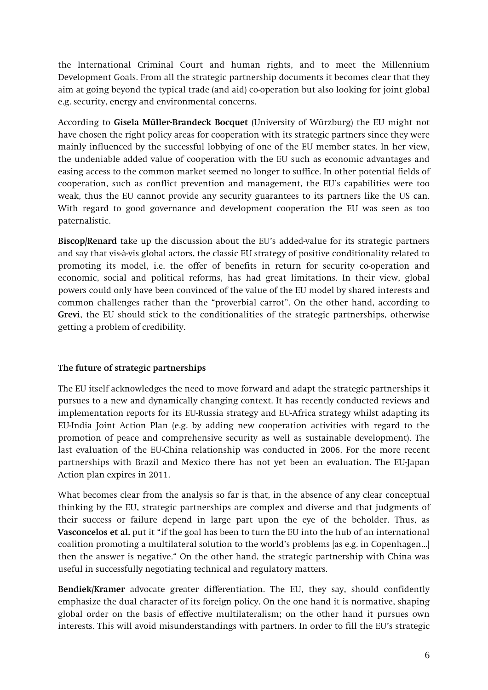the International Criminal Court and human rights, and to meet the Millennium Development Goals. From all the strategic partnership documents it becomes clear that they aim at going beyond the typical trade (and aid) co-operation but also looking for joint global e.g. security, energy and environmental concerns.

According to **Gisela Müller-Brandeck Bocquet** (University of Würzburg) the EU might not have chosen the right policy areas for cooperation with its strategic partners since they were mainly influenced by the successful lobbying of one of the EU member states. In her view, the undeniable added value of cooperation with the EU such as economic advantages and easing access to the common market seemed no longer to suffice. In other potential fields of cooperation, such as conflict prevention and management, the EU's capabilities were too weak, thus the EU cannot provide any security guarantees to its partners like the US can. With regard to good governance and development cooperation the EU was seen as too paternalistic.

**Biscop/Renard** take up the discussion about the EU's added-value for its strategic partners and say that vis-à-vis global actors, the classic EU strategy of positive conditionality related to promoting its model, i.e. the offer of benefits in return for security co-operation and economic, social and political reforms, has had great limitations. In their view, global powers could only have been convinced of the value of the EU model by shared interests and common challenges rather than the "proverbial carrot". On the other hand, according to **Grevi**, the EU should stick to the conditionalities of the strategic partnerships, otherwise getting a problem of credibility.

## **The future of strategic partnerships**

The EU itself acknowledges the need to move forward and adapt the strategic partnerships it pursues to a new and dynamically changing context. It has recently conducted reviews and implementation reports for its EU-Russia strategy and EU-Africa strategy whilst adapting its EU-India Joint Action Plan (e.g. by adding new cooperation activities with regard to the promotion of peace and comprehensive security as well as sustainable development). The last evaluation of the EU-China relationship was conducted in 2006. For the more recent partnerships with Brazil and Mexico there has not yet been an evaluation. The EU-Japan Action plan expires in 2011.

What becomes clear from the analysis so far is that, in the absence of any clear conceptual thinking by the EU, strategic partnerships are complex and diverse and that judgments of their success or failure depend in large part upon the eye of the beholder. Thus, as **Vasconcelos et al.** put it "if the goal has been to turn the EU into the hub of an international coalition promoting a multilateral solution to the world's problems [as e.g. in Copenhagen…] then the answer is negative." On the other hand, the strategic partnership with China was useful in successfully negotiating technical and regulatory matters.

**Bendiek/Kramer** advocate greater differentiation. The EU, they say, should confidently emphasize the dual character of its foreign policy. On the one hand it is normative, shaping global order on the basis of effective multilateralism; on the other hand it pursues own interests. This will avoid misunderstandings with partners. In order to fill the EU's strategic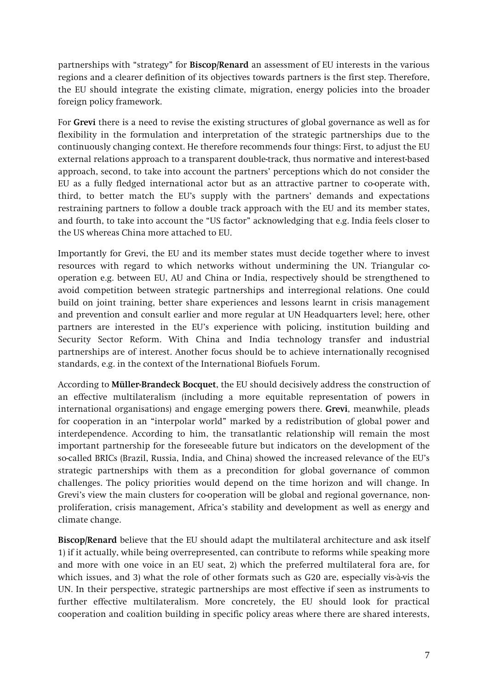partnerships with "strategy" for **Biscop/Renard** an assessment of EU interests in the various regions and a clearer definition of its objectives towards partners is the first step. Therefore, the EU should integrate the existing climate, migration, energy policies into the broader foreign policy framework.

For **Grevi** there is a need to revise the existing structures of global governance as well as for flexibility in the formulation and interpretation of the strategic partnerships due to the continuously changing context. He therefore recommends four things: First, to adjust the EU external relations approach to a transparent double-track, thus normative and interest-based approach, second, to take into account the partners' perceptions which do not consider the EU as a fully fledged international actor but as an attractive partner to co-operate with, third, to better match the EU's supply with the partners' demands and expectations restraining partners to follow a double track approach with the EU and its member states, and fourth, to take into account the "US factor" acknowledging that e.g. India feels closer to the US whereas China more attached to EU.

Importantly for Grevi, the EU and its member states must decide together where to invest resources with regard to which networks without undermining the UN. Triangular cooperation e.g. between EU, AU and China or India, respectively should be strengthened to avoid competition between strategic partnerships and interregional relations. One could build on joint training, better share experiences and lessons learnt in crisis management and prevention and consult earlier and more regular at UN Headquarters level; here, other partners are interested in the EU's experience with policing, institution building and Security Sector Reform. With China and India technology transfer and industrial partnerships are of interest. Another focus should be to achieve internationally recognised standards, e.g. in the context of the International Biofuels Forum.

According to **Müller-Brandeck Bocquet**, the EU should decisively address the construction of an effective multilateralism (including a more equitable representation of powers in international organisations) and engage emerging powers there. **Grevi**, meanwhile, pleads for cooperation in an "interpolar world" marked by a redistribution of global power and interdependence. According to him, the transatlantic relationship will remain the most important partnership for the foreseeable future but indicators on the development of the so-called BRICs (Brazil, Russia, India, and China) showed the increased relevance of the EU's strategic partnerships with them as a precondition for global governance of common challenges. The policy priorities would depend on the time horizon and will change. In Grevi's view the main clusters for co-operation will be global and regional governance, nonproliferation, crisis management, Africa's stability and development as well as energy and climate change.

**Biscop/Renard** believe that the EU should adapt the multilateral architecture and ask itself 1) if it actually, while being overrepresented, can contribute to reforms while speaking more and more with one voice in an EU seat, 2) which the preferred multilateral fora are, for which issues, and 3) what the role of other formats such as G20 are, especially vis-à-vis the UN. In their perspective, strategic partnerships are most effective if seen as instruments to further effective multilateralism. More concretely, the EU should look for practical cooperation and coalition building in specific policy areas where there are shared interests,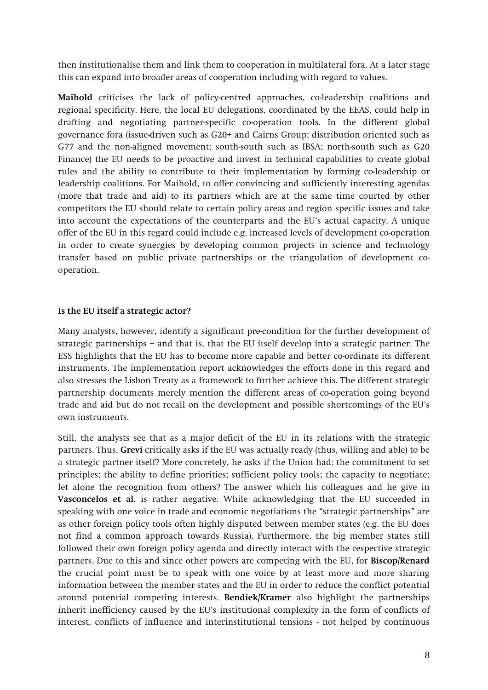then institutionalise them and link them to cooperation in multilateral fora. At a later stage this can expand into broader areas of cooperation including with regard to values.

**Maihold** criticises the lack of policy-centred approaches, co-leadership coalitions and regional specificity. Here, the local EU delegations, coordinated by the EEAS, could help in drafting and negotiating partner-specific co-operation tools. In the different global governance fora (issue-driven such as G20+ and Cairns Group; distribution oriented such as G77 and the non-aligned movement; south-south such as IBSA; north-south such as G20 Finance) the EU needs to be proactive and invest in technical capabilities to create global rules and the ability to contribute to their implementation by forming co-leadership or leadership coalitions. For Maihold, to offer convincing and sufficiently interesting agendas (more that trade and aid) to its partners which are at the same time courted by other competitors the EU should relate to certain policy areas and region specific issues and take into account the expectations of the counterparts and the EU's actual capacity. A unique offer of the EU in this regard could include e.g. increased levels of development co-operation in order to create synergies by developing common projects in science and technology transfer based on public private partnerships or the triangulation of development cooperation.

#### **Is the EU itself a strategic actor?**

Many analysts, however, identify a significant pre-condition for the further development of strategic partnerships – and that is, that the EU itself develop into a strategic partner. The ESS highlights that the EU has to become more capable and better co-ordinate its different instruments. The implementation report acknowledges the efforts done in this regard and also stresses the Lisbon Treaty as a framework to further achieve this. The different strategic partnership documents merely mention the different areas of co-operation going beyond trade and aid but do not recall on the development and possible shortcomings of the EU's own instruments.

Still, the analysts see that as a major deficit of the EU in its relations with the strategic partners. Thus, **Grevi** critically asks if the EU was actually ready (thus, willing and able) to be a strategic partner itself? More concretely, he asks if the Union had: the commitment to set principles; the ability to define priorities; sufficient policy tools; the capacity to negotiate; let alone the recognition from others? The answer which his colleagues and he give in **Vasconcelos et al.** is rather negative. While acknowledging that the EU succeeded in speaking with one voice in trade and economic negotiations the "strategic partnerships" are as other foreign policy tools often highly disputed between member states (e.g. the EU does not find a common approach towards Russia). Furthermore, the big member states still followed their own foreign policy agenda and directly interact with the respective strategic partners. Due to this and since other powers are competing with the EU, for **Biscop/Renard** the crucial point must be to speak with one voice by at least more and more sharing information between the member states and the EU in order to reduce the conflict potential around potential competing interests. **Bendiek/Kramer** also highlight the partnerships inherit inefficiency caused by the EU's institutional complexity in the form of conflicts of interest, conflicts of influence and interinstitutional tensions - not helped by continuous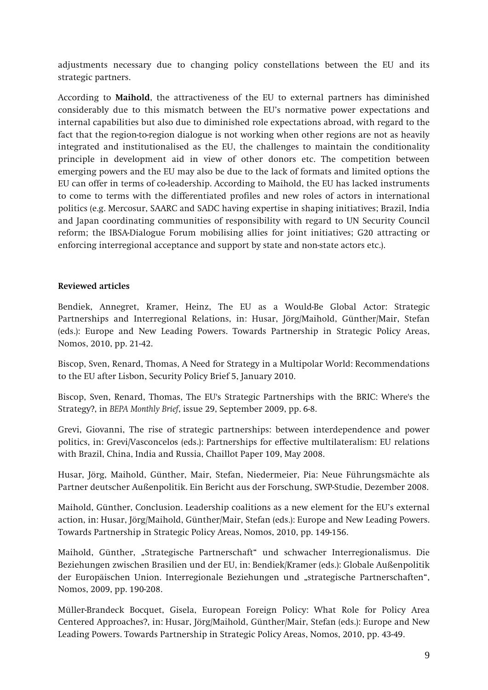adjustments necessary due to changing policy constellations between the EU and its strategic partners.

According to **Maihold**, the attractiveness of the EU to external partners has diminished considerably due to this mismatch between the EU's normative power expectations and internal capabilities but also due to diminished role expectations abroad, with regard to the fact that the region-to-region dialogue is not working when other regions are not as heavily integrated and institutionalised as the EU, the challenges to maintain the conditionality principle in development aid in view of other donors etc. The competition between emerging powers and the EU may also be due to the lack of formats and limited options the EU can offer in terms of co-leadership. According to Maihold, the EU has lacked instruments to come to terms with the differentiated profiles and new roles of actors in international politics (e.g. Mercosur, SAARC and SADC having expertise in shaping initiatives; Brazil, India and Japan coordinating communities of responsibility with regard to UN Security Council reform; the IBSA-Dialogue Forum mobilising allies for joint initiatives; G20 attracting or enforcing interregional acceptance and support by state and non-state actors etc.).

#### **Reviewed articles**

Bendiek, Annegret, Kramer, Heinz, The EU as a Would-Be Global Actor: Strategic Partnerships and Interregional Relations, in: Husar, Jörg/Maihold, Günther/Mair, Stefan (eds.): Europe and New Leading Powers. Towards Partnership in Strategic Policy Areas, Nomos, 2010, pp. 21-42.

Biscop, Sven, Renard, Thomas, A Need for Strategy in a Multipolar World: Recommendations to the EU after Lisbon, Security Policy Brief 5, January 2010.

Biscop, Sven, Renard, Thomas, The EU's Strategic Partnerships with the BRIC: Where's the Strategy?, in *BEPA Monthly Brief*, issue 29, September 2009, pp. 6-8.

Grevi, Giovanni, The rise of strategic partnerships: between interdependence and power politics, in: Grevi/Vasconcelos (eds.): Partnerships for effective multilateralism: EU relations with Brazil, China, India and Russia, Chaillot Paper 109, May 2008.

Husar, Jörg, Maihold, Günther, Mair, Stefan, Niedermeier, Pia: Neue Führungsmächte als Partner deutscher Außenpolitik. Ein Bericht aus der Forschung, SWP-Studie, Dezember 2008.

Maihold, Günther, Conclusion. Leadership coalitions as a new element for the EU's external action, in: Husar, Jörg/Maihold, Günther/Mair, Stefan (eds.): Europe and New Leading Powers. Towards Partnership in Strategic Policy Areas, Nomos, 2010, pp. 149-156.

Maihold, Günther, "Strategische Partnerschaft" und schwacher Interregionalismus. Die Beziehungen zwischen Brasilien und der EU, in: Bendiek/Kramer (eds.): Globale Außenpolitik der Europäischen Union. Interregionale Beziehungen und "strategische Partnerschaften", Nomos, 2009, pp. 190-208.

Müller-Brandeck Bocquet, Gisela, European Foreign Policy: What Role for Policy Area Centered Approaches?, in: Husar, Jörg/Maihold, Günther/Mair, Stefan (eds.): Europe and New Leading Powers. Towards Partnership in Strategic Policy Areas, Nomos, 2010, pp. 43-49.